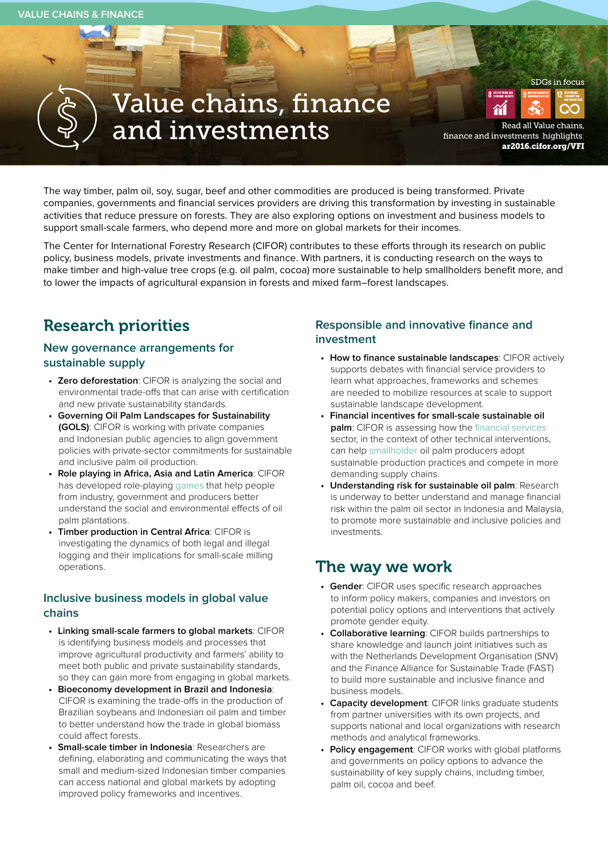# Value chains, finance and investments fighlights.

[finance and investments highlights](http://ar2016.cifor.org/VFI): ar2016.cifor.org/VFI

SDGs in focus

The way timber, palm oil, soy, sugar, beef and other commodities are produced is being transformed. Private companies, governments and financial services providers are driving this transformation by investing in sustainable activities that reduce pressure on forests. They are also exploring options on investment and business models to support small-scale farmers, who depend more and more on global markets for their incomes.

The Center for International Forestry Research (CIFOR) contributes to these efforts through its research on public policy, business models, private investments and finance. With partners, it is conducting research on the ways to make timber and high-value tree crops (e.g. oil palm, cocoa) more sustainable to help smallholders benefit more, and to lower the impacts of agricultural expansion in forests and mixed farm–forest landscapes.

## Research priorities

#### **New governance arrangements for sustainable supply**

- **• Zero deforestation**: CIFOR is analyzing the social and environmental trade-offs that can arise with certification and new private sustainability standards.
- **• Governing Oil Palm Landscapes for Sustainability (GOLS)**: CIFOR is working with private companies and Indonesian public agencies to align government policies with private-sector commitments for sustainable and inclusive palm oil production.
- **• Role playing in Africa, Asia and Latin America**: CIFOR has developed role-playing [games](http://annualreport2016.cifor.org/thematic-works-area/value-chains-finance-and-investments/tools-for-learning/) that help people from industry, government and producers better understand the social and environmental effects of oil palm plantations.
- **• Timber production in Central Africa**: CIFOR is investigating the dynamics of both legal and illegal logging and their implications for small-scale milling operations.

#### **Inclusive business models in global value chains**

- **• Linking small-scale farmers to global markets**: CIFOR is identifying business models and processes that improve agricultural productivity and farmers' ability to meet both public and private sustainability standards, so they can gain more from engaging in global markets.
- **• Bioeconomy development in Brazil and Indonesia**: CIFOR is examining the trade-offs in the production of Brazilian soybeans and Indonesian oil palm and timber to better understand how the trade in global biomass could affect forests.
- **• Small-scale timber in Indonesia**: Researchers are defining, elaborating and communicating the ways that small and medium-sized Indonesian timber companies can access national and global markets by adopting improved policy frameworks and incentives.

### **Responsible and innovative finance and investment**

- **• How to finance sustainable landscapes**: CIFOR actively supports debates with financial service providers to learn what approaches, frameworks and schemes are needed to mobilize resources at scale to support sustainable landscape development.
- **• Financial incentives for small-scale sustainable oil palm**: CIFOR is assessing how the [financial services](http://www.landscapes.org/wp-content/uploads/docs/London-white-papers/London-2016-WhitePaper-Exploring-the-challenges.pdf) sector, in the context of other technical interventions, can help [smallholder](http://blog.cifor.org/41744/leveraging-finance-to-support-solutions-for-smallholders?fnl=en) oil palm producers adopt sustainable production practices and compete in more demanding supply chains.
- **• Understanding risk for sustainable oil palm**: Research is underway to better understand and manage financial risk within the palm oil sector in Indonesia and Malaysia, to promote more sustainable and inclusive policies and investments.

### The way we work

- **• Gender**: CIFOR uses specific research approaches to inform policy makers, companies and investors on potential policy options and interventions that actively promote gender equity.
- **• Collaborative learning**: CIFOR builds partnerships to share knowledge and launch joint initiatives such as with the Netherlands Development Organisation (SNV) and the Finance Alliance for Sustainable Trade (FAST) to build more sustainable and inclusive finance and business models.
- **• Capacity development**: CIFOR links graduate students from partner universities with its own projects, and supports national and local organizations with research methods and analytical frameworks.
- **• Policy engagement**: CIFOR works with global platforms and governments on policy options to advance the sustainability of key supply chains, including timber, palm oil, cocoa and beef.